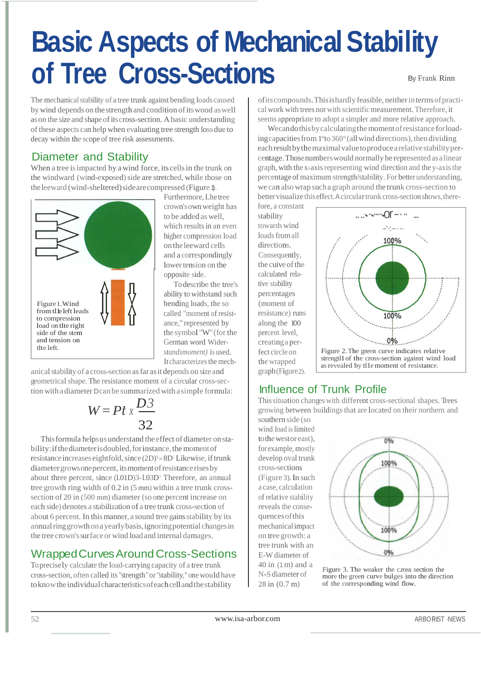# % D V L F \$ V S H F WOLW R I R T U H H & U R V V 6 H Frank Rinn L

The mechanical stability of a tree trunk against bending loads caused by wind depends on the strength and condition of its wood as well as on the size and shape of its cross-section. A basic understanding of these aspects can help when evaluating tree strength loss due to decay within the scope of tree risk assessments.

## Diameter and Stability

When a tree is impacted by a wind force, its cells in the trunk on the windward (wind-exposed) side are stretched, while those on the leeward (wind-sheltered) side are compressed (Figure 1).



Furthermore, Lhe tree crown's ownweight has to be added as well. which results in an even higher compression load on the leeward cells and a correspondingly lower tension on the opposite side.

To describe the tree's ability to withstand such bending loads, the so called "moment of resistance," represented by the symbol "W" (for the German word Wider*standsmoment)* is used. It characterizes the mech-

anical stability of a cross-section asfar asit depends on size and geometrical shape. The resistance moment of a circular cross-section with a diameter D can be summarized with a simple formula:

a cross-section as far as  
The resistance momen  
er Dean be summarized  

$$
W = Pt \times \frac{D3}{32}
$$

resistance increases eightfold, since  $(2D)^3 = 8D^1$  Likewise, if trunk This formula helps us understand the effect of diameter on stability: if the diameter is doubled, for instance, the moment of diameter grows one percent, its momentofresistancerisesby about three percent, since (l.01D)3-1.03D<sup>3</sup>. Therefore, an annual tree growth ring width of 0.2 in (5 mm) within a tree trunk crosssection of 20 in (500 mm) diameter (so one percent increase on each side) denotes a stabilization of a tree trunk cross-section of about 6 percent. In this manner, a sound tree gains stability by its annual ringgrowthona yearly basis,ignoring potential changesin the tree crown's surface or wind load and internal damages.

## WrappedCurves Around Cross-Sections

To precisely calculate the load-carrying capacity of a tree trunk cross-section, often called its "strength" or "stability," one would have toknowthe individual characteristicsofeach cellandthestability



## Influence of Trunk Profile

Thissituation changes with different cross-sectional shapes. Trees growing between buildings that are located on their northern and southern side (so

wind load is limited to the west oreast), for example, mostly develop oval trunk cross-sections (Figure 3). In such a case, calculation of relative stability reveals the consequencesofthis mechanicalimpact on treegrowth: a tree trunk with an E-W diameter of 40 in (1m) and a N-S diameter of 28 in (0.7 m)



Figure 3. The weaker the c.ross section the more the green curve bulges into the direction of the corresponding wind flow.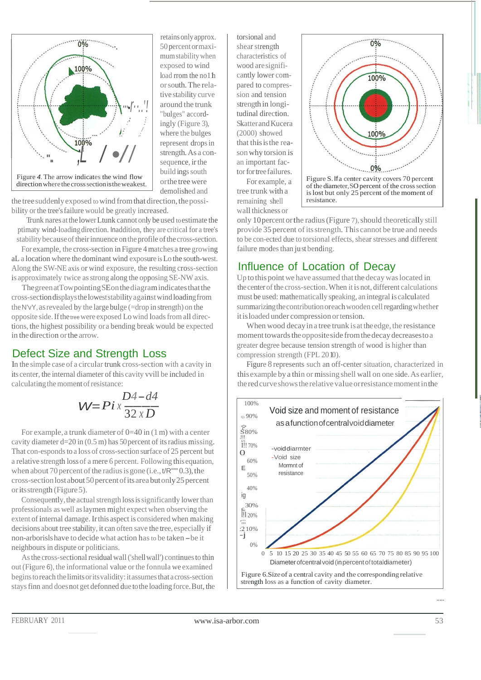

retains only approx. 50 percent or maximum stability when exposed to wind load rrom the no1h or south. The relative stability curve around the trunk "bulges" accordingly (Figure 3), where the bulges represent drops in strength. As a consequence, ir the build ings south or the tree were demolished and

the tree suddenly exposed to wind from that direction, the possibility or the tree's failure would be greatly increased.

Trunk nares at the lower Ltunk cannot only be used to estimate the ptimaty wind-loading direction. Inaddition, they are critical for a tree's stability because of their innuence on the profile of the cross-section.

For example, the cross-section in Figure 4 matches a tree growing aL a location where the dominant wind exposure is Lo the south-west. Along the SW-NE axis or wind exposure, the resulting cross-section is approximately twice as strong along the opposing SE-NW axis.

The green at Towpointing SE on the diagram indicates that the cross-section displays the lowest stability against wind loading from the N'vY, as revealed by the large bulge (=drop in strength) on the opposite side. If the tree were exposed Lo wind loads from all directions, the highest possibility or a bending break would be expected in the direction or the arrow.

## Defect Size and Strength Loss

In the simple case of a circular trunk cross-section with a cavity in its center, the internal diameter of this cavity vvill be included in calculating the moment of resistance:

$$
W = Pi \times \frac{D4 - d4}{32 \times D}
$$

For example, a trunk diameter of  $0=40$  in  $(1 \text{ m})$  with a center cavity diameter  $d=20$  in (0.5 m) has 50 percent of its radius missing. That con-esponds to a loss of cross-section surface of 25 percent but a relative strength loss of a mere 6 percent. Following this equation, when about 70 percent of the radius is gone (i.e.,  $t/R$ "" 0.3), the cross-section lost about 50 percent of its area but only 25 percent or its strength (Figure 5).

Consequently, the actual strength loss is significantly lower than professionals as well as laymen might expect when observing the extent of internal damage. Ir this aspect is considered when making decisions about tree stability, it can often save the tree, especially if non-arborisls have to decide what action has to be taken - be it neighbours in dispute or politicians.

As the cross-sectional residual wall ('shell wall') continues to thin out (Figure 6), the informational value or the fonnula we examined begins to reach the limits or its validity: it assumes that a cross-section stays finn and does not get defonned due to the loading force. But, the

torsional and shear strength characteristics of wood are significantly lower compared to compression and tension strength in longitudinal direction. Skatter and Kucera  $(2000)$  showed that this is the reason why torsion is an important factor for tree failures. For example, a

tree trunk with a remaining shell wall thickness or



of the diameter, SO percent of the cross section is lost but only 25 percent of the moment of resistance

only 10 percent or the radius (Figure 7), should theoretically still provide 35 percent of its strength. This cannot be true and needs to be con-ected due to torsional effects, shear stresses and different failure modes than just bending.

# Influence of Location of Decav

Up to this point we have assumed that the decay was located in the center of the cross-section. When it is not, different calculations must be used: mathematically speaking, an integral is calculated summarizing the contribution or each wooden cell regarding whether it is loaded under compression or tension.

When wood decay in a tree trunk is at the edge, the resistance moment towards the opposite side from the decay decreases to a greater degree because tension strength of wood is higher than compression strength (FPL 2010).

Figure 8 represents such an off-center situation, characterized in this example by a thin or missing shell wall on one side. As earlier, the red curve shows the relative value or resistance moment in the